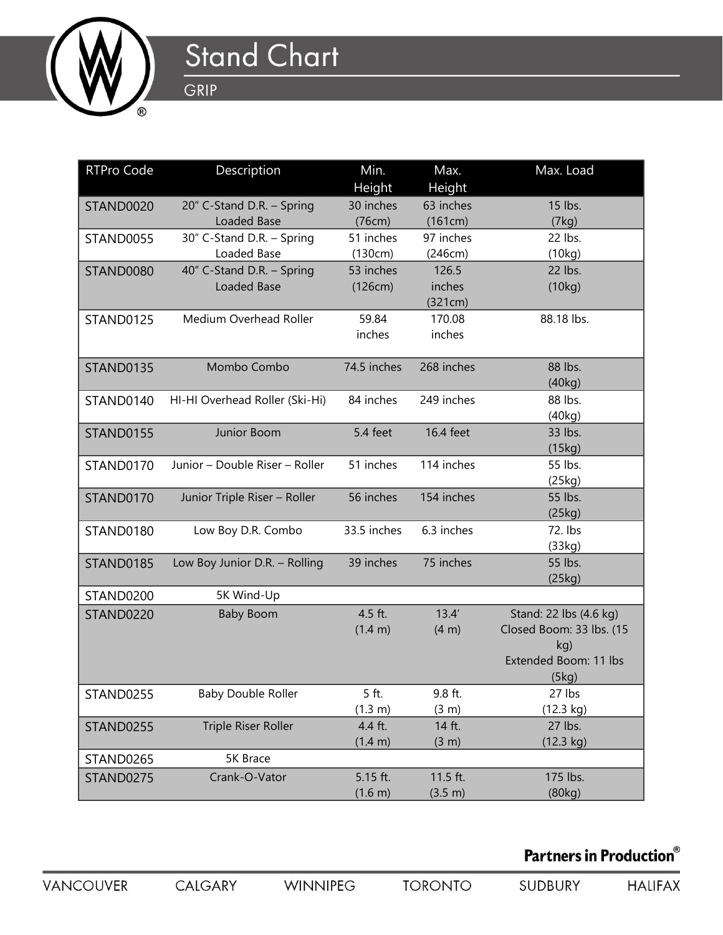

## **Stand Chart** GRIP

| <b>RTPro Code</b> | Description                    | Min.        | Max.       | Max. Load                |
|-------------------|--------------------------------|-------------|------------|--------------------------|
|                   |                                | Height      | Height     |                          |
| STAND0020         | 20" C-Stand D.R. - Spring      | 30 inches   | 63 inches  | 15 lbs.                  |
|                   | Loaded Base                    | (76cm)      | (161cm)    | (7kg)                    |
| STAND0055         | 30" C-Stand D.R. - Spring      | 51 inches   | 97 inches  | 22 lbs.                  |
|                   | Loaded Base                    | (130cm)     | (246cm)    | (10kg)                   |
| STAND0080         | 40" C-Stand D.R. - Spring      | 53 inches   | 126.5      | 22 lbs.                  |
|                   | Loaded Base                    | (126cm)     | inches     | (10kg)                   |
|                   |                                |             | (321cm)    |                          |
| STAND0125         | Medium Overhead Roller         | 59.84       | 170.08     | 88.18 lbs.               |
|                   |                                | inches      | inches     |                          |
| STAND0135         | Mombo Combo                    | 74.5 inches | 268 inches | 88 lbs.                  |
|                   |                                |             |            | (40kg)                   |
| STAND0140         | HI-HI Overhead Roller (Ski-Hi) | 84 inches   | 249 inches | 88 lbs.                  |
|                   |                                |             |            | (40kg)                   |
| STAND0155         | Junior Boom                    | 5.4 feet    | 16.4 feet  | 33 lbs.                  |
|                   |                                |             |            | (15kg)                   |
| STAND0170         | Junior - Double Riser - Roller | 51 inches   | 114 inches | 55 lbs.                  |
|                   |                                |             |            | (25kg)                   |
| STAND0170         | Junior Triple Riser - Roller   | 56 inches   | 154 inches | 55 lbs.                  |
|                   |                                |             |            | (25kg)                   |
| STAND0180         | Low Boy D.R. Combo             | 33.5 inches | 6.3 inches | 72. lbs<br>(33kg)        |
| STAND0185         | Low Boy Junior D.R. - Rolling  | 39 inches   | 75 inches  | 55 lbs.                  |
|                   |                                |             |            | (25kg)                   |
| STAND0200         | 5K Wind-Up                     |             |            |                          |
| STAND0220         | <b>Baby Boom</b>               | 4.5 ft.     | 13.4'      | Stand: 22 lbs (4.6 kg)   |
|                   |                                | (1.4 m)     | (4 m)      | Closed Boom: 33 lbs. (15 |
|                   |                                |             |            | kg)                      |
|                   |                                |             |            | Extended Boom: 11 lbs    |
|                   |                                |             |            | (5kg)                    |
| STAND0255         | <b>Baby Double Roller</b>      | 5 ft.       | 9.8 ft.    | 27 lbs                   |
|                   |                                | (1.3 m)     | (3 m)      | (12.3 kg)                |
| STAND0255         | Triple Riser Roller            | 4.4 ft.     | 14 ft.     | 27 lbs.                  |
|                   |                                | (1.4 m)     | (3 m)      | (12.3 kg)                |
| STAND0265         | 5K Brace                       |             |            |                          |
| STAND0275         | Crank-O-Vator                  | 5.15 ft.    | 11.5 ft.   | 175 lbs.                 |
|                   |                                | (1.6 m)     | (3.5 m)    | (80kg)                   |

## Partners in Production®